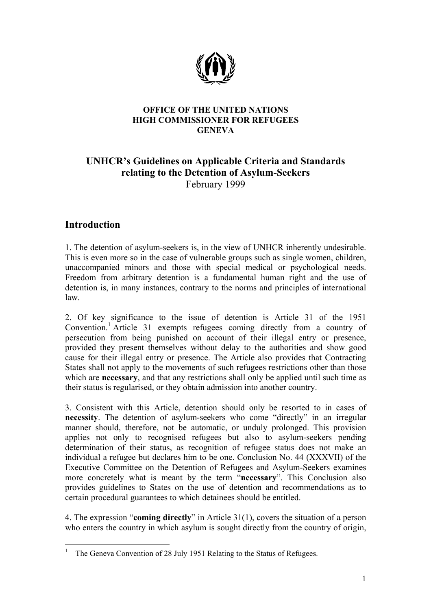

#### **OFFICE OF THE UNITED NATIONS HIGH COMMISSIONER FOR REFUGEES GENEVA**

### **UNHCR2s Guidelines on Applicable Criteria and Standards relating to the Detention of Asylum-Seekers**  February 1999

### **Introduction**

1. The detention of asylum-seekers is, in the view of UNHCR inherently undesirable. This is even more so in the case of vulnerable groups such as single women, children, unaccompanied minors and those with special medical or psychological needs. Freedom from arbitrary detention is a fundamental human right and the use of detention is, in many instances, contrary to the norms and principles of international law.

2. Of key significance to the issue of detention is Article 31 of the 1951 Convention.<sup>[1](#page-0-0)</sup> Article 31 exempts refugees coming directly from a country of persecution from being punished on account of their illegal entry or presence, provided they present themselves without delay to the authorities and show good cause for their illegal entry or presence. The Article also provides that Contracting States shall not apply to the movements of such refugees restrictions other than those which are **necessary**, and that any restrictions shall only be applied until such time as their status is regularised, or they obtain admission into another country.

3. Consistent with this Article, detention should only be resorted to in cases of **necessity**. The detention of asylum-seekers who come "directly" in an irregular manner should, therefore, not be automatic, or unduly prolonged. This provision applies not only to recognised refugees but also to asylum-seekers pending determination of their status, as recognition of refugee status does not make an individual a refugee but declares him to be one. Conclusion No. 44 (XXXVII) of the Executive Committee on the Detention of Refugees and Asylum-Seekers examines more concretely what is meant by the term "**necessary**". This Conclusion also provides guidelines to States on the use of detention and recommendations as to certain procedural guarantees to which detainees should be entitled.

4. The expression "**coming directly**" in Article 31(1), covers the situation of a person who enters the country in which asylum is sought directly from the country of origin,

<span id="page-0-0"></span>l <sup>1</sup> The Geneva Convention of 28 July 1951 Relating to the Status of Refugees.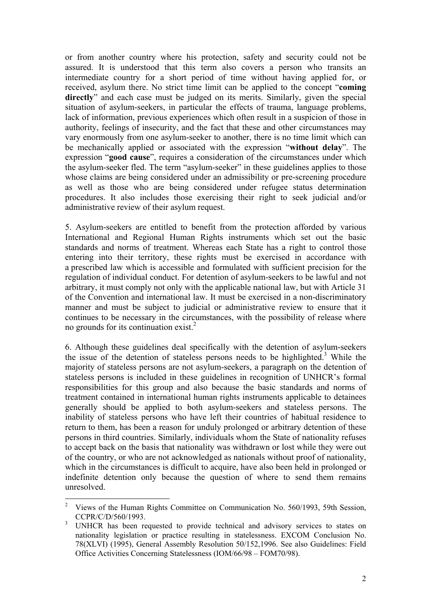or from another country where his protection, safety and security could not be assured. It is understood that this term also covers a person who transits an intermediate country for a short period of time without having applied for, or received, asylum there. No strict time limit can be applied to the concept "coming **directly** and each case must be judged on its merits. Similarly, given the special situation of asylum-seekers, in particular the effects of trauma, language problems, lack of information, previous experiences which often result in a suspicion of those in authority, feelings of insecurity, and the fact that these and other circumstances may vary enormously from one asylum-seeker to another, there is no time limit which can be mechanically applied or associated with the expression "without delay". The expression "**good cause**", requires a consideration of the circumstances under which the asylum-seeker fled. The term "asylum-seeker" in these guidelines applies to those whose claims are being considered under an admissibility or pre-screening procedure as well as those who are being considered under refugee status determination procedures. It also includes those exercising their right to seek judicial and/or administrative review of their asylum request.

5. Asylum-seekers are entitled to benefit from the protection afforded by various International and Regional Human Rights instruments which set out the basic standards and norms of treatment. Whereas each State has a right to control those entering into their territory, these rights must be exercised in accordance with a prescribed law which is accessible and formulated with sufficient precision for the regulation of individual conduct. For detention of asylum-seekers to be lawful and not arbitrary, it must comply not only with the applicable national law, but with Article 31 of the Convention and international law. It must be exercised in a non-discriminatory manner and must be subject to judicial or administrative review to ensure that it continues to be necessary in the circumstances, with the possibility of release where no grounds for its continuation exist.<sup>[2](#page-1-0)</sup>

6. Although these guidelines deal specifically with the detention of asylum-seekers the issue of the detention of stateless persons needs to be highlighted.<sup>[3](#page-1-1)</sup> While the majority of stateless persons are not asylum-seekers, a paragraph on the detention of stateless persons is included in these guidelines in recognition of UNHCR's formal responsibilities for this group and also because the basic standards and norms of treatment contained in international human rights instruments applicable to detainees generally should be applied to both asylum-seekers and stateless persons. The inability of stateless persons who have left their countries of habitual residence to return to them, has been a reason for unduly prolonged or arbitrary detention of these persons in third countries. Similarly, individuals whom the State of nationality refuses to accept back on the basis that nationality was withdrawn or lost while they were out of the country, or who are not acknowledged as nationals without proof of nationality, which in the circumstances is difficult to acquire, have also been held in prolonged or indefinite detention only because the question of where to send them remains unresolved.

<span id="page-1-0"></span> $\overline{2}$ <sup>2</sup> Views of the Human Rights Committee on Communication No. 560/1993, 59th Session, CCPR/C/D/560/1993.

<span id="page-1-1"></span><sup>&</sup>lt;sup>3</sup> UNHCR has been requested to provide technical and advisory services to states on nationality legislation or practice resulting in statelessness. EXCOM Conclusion No. 78(XLVI) (1995), General Assembly Resolution 50/152,1996. See also Guidelines: Field Office Activities Concerning Statelessness (IOM/66/98 – FOM70/98).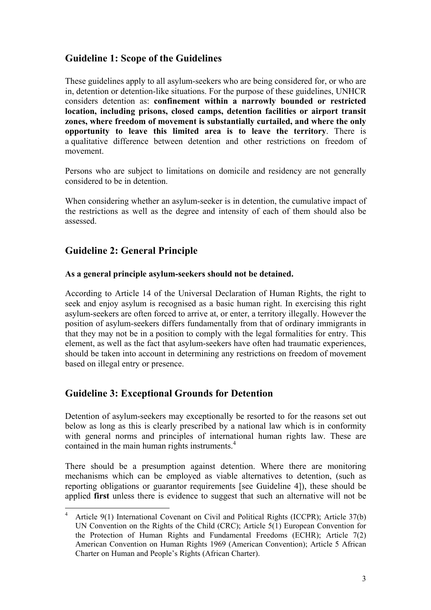### **Guideline 1: Scope of the Guidelines**

These guidelines apply to all asylum-seekers who are being considered for, or who are in, detention or detention-like situations. For the purpose of these guidelines, UNHCR considers detention as: **confinement within a narrowly bounded or restricted location, including prisons, closed camps, detention facilities or airport transit zones, where freedom of movement is substantially curtailed, and where the only opportunity to leave this limited area is to leave the territory**. There is a qualitative difference between detention and other restrictions on freedom of movement.

Persons who are subject to limitations on domicile and residency are not generally considered to be in detention.

When considering whether an asylum-seeker is in detention, the cumulative impact of the restrictions as well as the degree and intensity of each of them should also be assessed.

## **Guideline 2: General Principle**

#### **As a general principle asylum-seekers should not be detained.**

According to Article 14 of the Universal Declaration of Human Rights, the right to seek and enjoy asylum is recognised as a basic human right. In exercising this right asylum-seekers are often forced to arrive at, or enter, a territory illegally. However the position of asylum-seekers differs fundamentally from that of ordinary immigrants in that they may not be in a position to comply with the legal formalities for entry. This element, as well as the fact that asylum-seekers have often had traumatic experiences, should be taken into account in determining any restrictions on freedom of movement based on illegal entry or presence.

### **Guideline 3: Exceptional Grounds for Detention**

Detention of asylum-seekers may exceptionally be resorted to for the reasons set out below as long as this is clearly prescribed by a national law which is in conformity with general norms and principles of international human rights law. These are contained in the main human rights instruments.<sup>[4](#page-2-0)</sup>

There should be a presumption against detention. Where there are monitoring mechanisms which can be employed as viable alternatives to detention, (such as reporting obligations or guarantor requirements [see Guideline 4]), these should be applied **first** unless there is evidence to suggest that such an alternative will not be

<span id="page-2-0"></span> $\sqrt{4}$ <sup>4</sup> Article 9(1) International Covenant on Civil and Political Rights (ICCPR); Article 37(b) UN Convention on the Rights of the Child (CRC); Article 5(1) European Convention for the Protection of Human Rights and Fundamental Freedoms (ECHR); Article 7(2) American Convention on Human Rights 1969 (American Convention); Article 5 African Charter on Human and People's Rights (African Charter).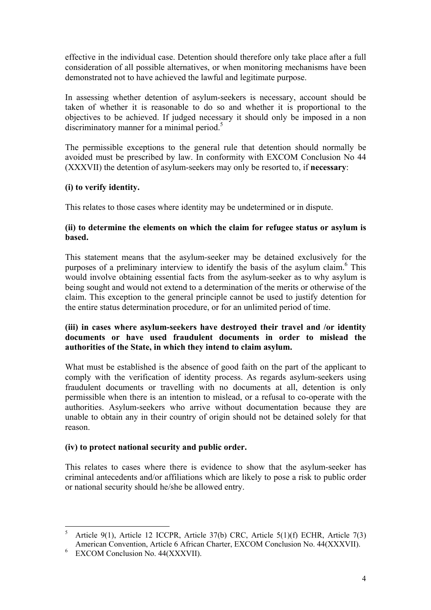effective in the individual case. Detention should therefore only take place after a full consideration of all possible alternatives, or when monitoring mechanisms have been demonstrated not to have achieved the lawful and legitimate purpose.

In assessing whether detention of asylum-seekers is necessary, account should be taken of whether it is reasonable to do so and whether it is proportional to the objectives to be achieved. If judged necessary it should only be imposed in a non discriminatory manner for a minimal period.<sup>[5](#page-3-0)</sup>

The permissible exceptions to the general rule that detention should normally be avoided must be prescribed by law. In conformity with EXCOM Conclusion No 44 (XXXVII) the detention of asylum-seekers may only be resorted to, if **necessary**:

#### **(i) to verify identity.**

This relates to those cases where identity may be undetermined or in dispute.

#### **(ii) to determine the elements on which the claim for refugee status or asylum is based.**

This statement means that the asylum-seeker may be detained exclusively for the purposesof a preliminary interview to identify the basis of the asylum claim.<sup>6</sup> This would involve obtaining essential facts from the asylum-seeker as to why asylum is being sought and would not extend to a determination of the merits or otherwise of the claim. This exception to the general principle cannot be used to justify detention for the entire status determination procedure, or for an unlimited period of time.

#### **(iii) in cases where asylum-seekers have destroyed their travel and /or identity documents or have used fraudulent documents in order to mislead the authorities of the State, in which they intend to claim asylum.**

What must be established is the absence of good faith on the part of the applicant to comply with the verification of identity process. As regards asylum-seekers using fraudulent documents or travelling with no documents at all, detention is only permissible when there is an intention to mislead, or a refusal to co-operate with the authorities. Asylum-seekers who arrive without documentation because they are unable to obtain any in their country of origin should not be detained solely for that reason.

#### **(iv) to protect national security and public order.**

This relates to cases where there is evidence to show that the asylum-seeker has criminal antecedents and/or affiliations which are likely to pose a risk to public order or national security should he/she be allowed entry.

<span id="page-3-0"></span>l <sup>5</sup> Article 9(1), Article 12 ICCPR, Article 37(b) CRC, Article 5(1)(f) ECHR, Article 7(3) American Convention, Article 6 African Charter, EXCOM Conclusion No. 44(XXXVII).

<span id="page-3-1"></span><sup>6</sup> EXCOM Conclusion No. 44(XXXVII).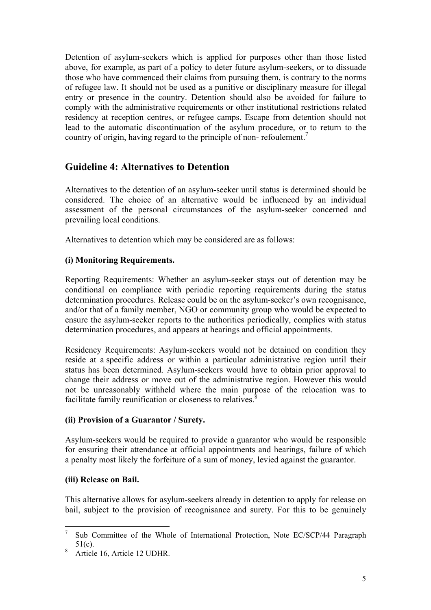Detention of asylum-seekers which is applied for purposes other than those listed above, for example, as part of a policy to deter future asylum-seekers, or to dissuade those who have commenced their claims from pursuing them, is contrary to the norms of refugee law. It should not be used as a punitive or disciplinary measure for illegal entry or presence in the country. Detention should also be avoided for failure to comply with the administrative requirements or other institutional restrictions related residency at reception centres, or refugee camps. Escape from detention should not lead to the automatic discontinuation of the asylum procedure, or to return to the country of origin, having regard to the principle of non-refoulement.<sup>[7](#page-4-0)</sup>

### **Guideline 4: Alternatives to Detention**

Alternatives to the detention of an asylum-seeker until status is determined should be considered. The choice of an alternative would be influenced by an individual assessment of the personal circumstances of the asylum-seeker concerned and prevailing local conditions.

Alternatives to detention which may be considered are as follows:

#### **(i) Monitoring Requirements.**

Reporting Requirements: Whether an asylum-seeker stays out of detention may be conditional on compliance with periodic reporting requirements during the status determination procedures. Release could be on the asylum-seeker's own recognisance, and/or that of a family member, NGO or community group who would be expected to ensure the asylum-seeker reports to the authorities periodically, complies with status determination procedures, and appears at hearings and official appointments.

Residency Requirements: Asylum-seekers would not be detained on condition they reside at a specific address or within a particular administrative region until their status has been determined. Asylum-seekers would have to obtain prior approval to change their address or move out of the administrative region. However this would not be unreasonably withheld where the main purpose of the relocation was to facilitate family reunification or closeness to relatives.<sup>[8](#page-4-1)</sup>

#### **(ii) Provision of a Guarantor / Surety.**

Asylum-seekers would be required to provide a guarantor who would be responsible for ensuring their attendance at official appointments and hearings, failure of which a penalty most likely the forfeiture of a sum of money, levied against the guarantor.

#### **(iii) Release on Bail.**

l

This alternative allows for asylum-seekers already in detention to apply for release on bail, subject to the provision of recognisance and surety. For this to be genuinely

<span id="page-4-0"></span><sup>7</sup> Sub Committee of the Whole of International Protection, Note EC/SCP/44 Paragraph 51(c).

<span id="page-4-1"></span> $8$  Article 16, Article 12 UDHR.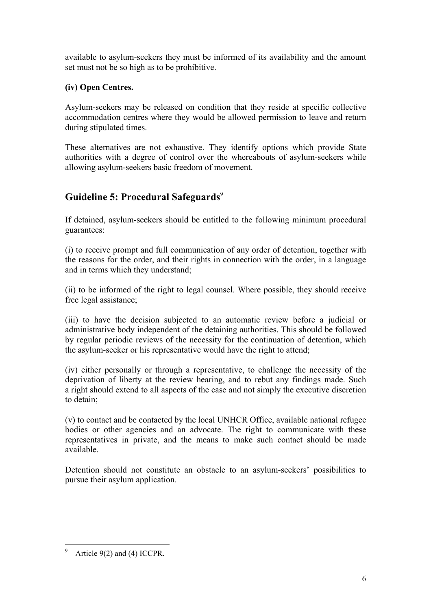available to asylum-seekers they must be informed of its availability and the amount set must not be so high as to be prohibitive.

#### **(iv) Open Centres.**

Asylum-seekers may be released on condition that they reside at specific collective accommodation centres where they would be allowed permission to leave and return during stipulated times.

These alternatives are not exhaustive. They identify options which provide State authorities with a degree of control over the whereabouts of asylum-seekers while allowing asylum-seekers basic freedom of movement.

# Guideline 5: Procedural Safeguards<sup>[9](#page-5-0)</sup>

If detained, asylum-seekers should be entitled to the following minimum procedural guarantees:

(i) to receive prompt and full communication of any order of detention, together with the reasons for the order, and their rights in connection with the order, in a language and in terms which they understand;

(ii) to be informed of the right to legal counsel. Where possible, they should receive free legal assistance;

(iii) to have the decision subjected to an automatic review before a judicial or administrative body independent of the detaining authorities. This should be followed by regular periodic reviews of the necessity for the continuation of detention, which the asylum-seeker or his representative would have the right to attend;

(iv) either personally or through a representative, to challenge the necessity of the deprivation of liberty at the review hearing, and to rebut any findings made. Such a right should extend to all aspects of the case and not simply the executive discretion to detain;

(v) to contact and be contacted by the local UNHCR Office, available national refugee bodies or other agencies and an advocate. The right to communicate with these representatives in private, and the means to make such contact should be made available.

Detention should not constitute an obstacle to an asylum-seekers' possibilities to pursue their asylum application.

<span id="page-5-0"></span>l Article 9(2) and (4) ICCPR.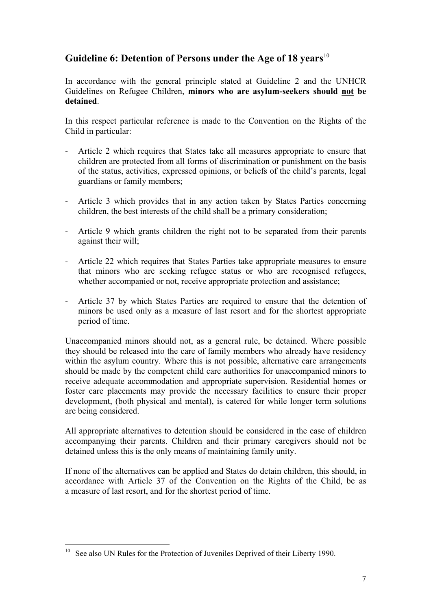## Guideline 6: Detention of Persons under the Age of 18 years<sup>[10](#page-6-0)</sup>

In accordance with the general principle stated at Guideline 2 and the UNHCR Guidelines on Refugee Children, **minors who are asylum-seekers should not be detained**.

In this respect particular reference is made to the Convention on the Rights of the Child in particular:

- Article 2 which requires that States take all measures appropriate to ensure that children are protected from all forms of discrimination or punishment on the basis of the status, activities, expressed opinions, or beliefs of the child's parents, legal guardians or family members;
- Article 3 which provides that in any action taken by States Parties concerning children, the best interests of the child shall be a primary consideration;
- Article 9 which grants children the right not to be separated from their parents against their will;
- Article 22 which requires that States Parties take appropriate measures to ensure that minors who are seeking refugee status or who are recognised refugees, whether accompanied or not, receive appropriate protection and assistance;
- Article 37 by which States Parties are required to ensure that the detention of minors be used only as a measure of last resort and for the shortest appropriate period of time.

Unaccompanied minors should not, as a general rule, be detained. Where possible they should be released into the care of family members who already have residency within the asylum country. Where this is not possible, alternative care arrangements should be made by the competent child care authorities for unaccompanied minors to receive adequate accommodation and appropriate supervision. Residential homes or foster care placements may provide the necessary facilities to ensure their proper development, (both physical and mental), is catered for while longer term solutions are being considered.

All appropriate alternatives to detention should be considered in the case of children accompanying their parents. Children and their primary caregivers should not be detained unless this is the only means of maintaining family unity.

If none of the alternatives can be applied and States do detain children, this should, in accordance with Article 37 of the Convention on the Rights of the Child, be as a measure of last resort, and for the shortest period of time.

l

<span id="page-6-0"></span><sup>&</sup>lt;sup>10</sup> See also UN Rules for the Protection of Juveniles Deprived of their Liberty 1990.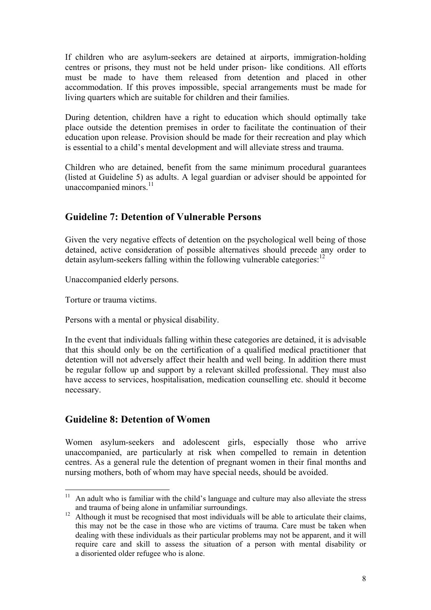If children who are asylum-seekers are detained at airports, immigration-holding centres or prisons, they must not be held under prison- like conditions. All efforts must be made to have them released from detention and placed in other accommodation. If this proves impossible, special arrangements must be made for living quarters which are suitable for children and their families.

During detention, children have a right to education which should optimally take place outside the detention premises in order to facilitate the continuation of their education upon release. Provision should be made for their recreation and play which is essential to a child's mental development and will alleviate stress and trauma.

Children who are detained, benefit from the same minimum procedural guarantees (listed at Guideline 5) as adults. A legal guardian or adviser should be appointed for unaccompanied minors.<sup>[11](#page-7-0)</sup>

### **Guideline 7: Detention of Vulnerable Persons**

Given the very negative effects of detention on the psychological well being of those detained, active consideration of possible alternatives should precede any order to detain asylum-seekers falling within the following vulnerable categories:  $12$ 

Unaccompanied elderly persons.

Torture or trauma victims.

Persons with a mental or physical disability.

In the event that individuals falling within these categories are detained, it is advisable that this should only be on the certification of a qualified medical practitioner that detention will not adversely affect their health and well being. In addition there must be regular follow up and support by a relevant skilled professional. They must also have access to services, hospitalisation, medication counselling etc. should it become necessary.

### **Guideline 8: Detention of Women**

Women asylum-seekers and adolescent girls, especially those who arrive unaccompanied, are particularly at risk when compelled to remain in detention centres. As a general rule the detention of pregnant women in their final months and nursing mothers, both of whom may have special needs, should be avoided.

<span id="page-7-0"></span> $11$ An adult who is familiar with the child's language and culture may also alleviate the stress and trauma of being alone in unfamiliar surroundings.

<span id="page-7-1"></span><sup>&</sup>lt;sup>12</sup> Although it must be recognised that most individuals will be able to articulate their claims, this may not be the case in those who are victims of trauma. Care must be taken when dealing with these individuals as their particular problems may not be apparent, and it will require care and skill to assess the situation of a person with mental disability or a disoriented older refugee who is alone.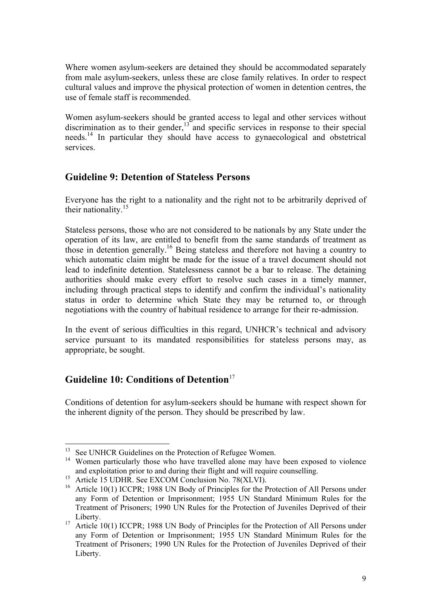Where women asylum-seekers are detained they should be accommodated separately from male asylum-seekers, unless these are close family relatives. In order to respect cultural values and improve the physical protection of women in detention centres, the use of female staff is recommended.

Women asylum-seekers should be granted access to legal and other services without discrimination as to their gender, $13$  and specific services in response to their special needs.<sup>14</sup> In particular they should have access to gynaecological and obstetrical services.

## **Guideline 9: Detention of Stateless Persons**

Everyone has the right to a nationality and the right not to be arbitrarily deprived of their nationality.<sup>[15](#page-8-2)</sup>

Stateless persons, those who are not considered to be nationals by any State under the operation of its law, are entitled to benefit from the same standards of treatment as those in detention generally[.16](#page-8-3) Being stateless and therefore not having a country to which automatic claim might be made for the issue of a travel document should not lead to indefinite detention. Statelessness cannot be a bar to release. The detaining authorities should make every effort to resolve such cases in a timely manner, including through practical steps to identify and confirm the individual's nationality status in order to determine which State they may be returned to, or through negotiations with the country of habitual residence to arrange for their re-admission.

In the event of serious difficulties in this regard, UNHCR's technical and advisory service pursuant to its mandated responsibilities for stateless persons may, as appropriate, be sought.

# Guideline 10: Conditions of Detention<sup>[17](#page-8-4)</sup>

Conditions of detention for asylum-seekers should be humane with respect shown for the inherent dignity of the person. They should be prescribed by law.

<span id="page-8-0"></span> $13<sup>7</sup>$ See UNHCR Guidelines on the Protection of Refugee Women.

<span id="page-8-1"></span><sup>&</sup>lt;sup>14</sup> Women particularly those who have travelled alone may have been exposed to violence and exploitation prior to and during their flight and will require counselling.

<span id="page-8-2"></span><sup>15</sup> Article 15 UDHR. See EXCOM Conclusion No. 78(XLVI).

<span id="page-8-3"></span><sup>&</sup>lt;sup>16</sup> Article 10(1) ICCPR; 1988 UN Body of Principles for the Protection of All Persons under any Form of Detention or Imprisonment; 1955 UN Standard Minimum Rules for the Treatment of Prisoners; 1990 UN Rules for the Protection of Juveniles Deprived of their Liberty.<br><sup>17</sup> Article 10(1) ICCPR; 1988 UN Body of Principles for the Protection of All Persons under

<span id="page-8-4"></span>any Form of Detention or Imprisonment; 1955 UN Standard Minimum Rules for the Treatment of Prisoners; 1990 UN Rules for the Protection of Juveniles Deprived of their Liberty.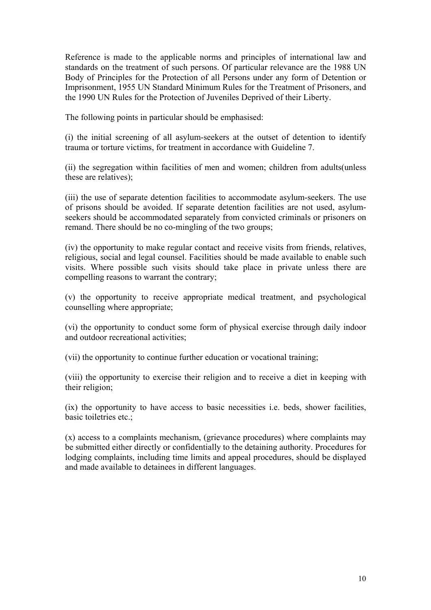Reference is made to the applicable norms and principles of international law and standards on the treatment of such persons. Of particular relevance are the 1988 UN Body of Principles for the Protection of all Persons under any form of Detention or Imprisonment, 1955 UN Standard Minimum Rules for the Treatment of Prisoners, and the 1990 UN Rules for the Protection of Juveniles Deprived of their Liberty.

The following points in particular should be emphasised:

(i) the initial screening of all asylum-seekers at the outset of detention to identify trauma or torture victims, for treatment in accordance with Guideline 7.

(ii) the segregation within facilities of men and women; children from adults(unless these are relatives);

(iii) the use of separate detention facilities to accommodate asylum-seekers. The use of prisons should be avoided. If separate detention facilities are not used, asylumseekers should be accommodated separately from convicted criminals or prisoners on remand. There should be no co-mingling of the two groups;

(iv) the opportunity to make regular contact and receive visits from friends, relatives, religious, social and legal counsel. Facilities should be made available to enable such visits. Where possible such visits should take place in private unless there are compelling reasons to warrant the contrary;

(v) the opportunity to receive appropriate medical treatment, and psychological counselling where appropriate;

(vi) the opportunity to conduct some form of physical exercise through daily indoor and outdoor recreational activities;

(vii) the opportunity to continue further education or vocational training;

(viii) the opportunity to exercise their religion and to receive a diet in keeping with their religion;

(ix) the opportunity to have access to basic necessities i.e. beds, shower facilities, basic toiletries etc.

(x) access to a complaints mechanism, (grievance procedures) where complaints may be submitted either directly or confidentially to the detaining authority. Procedures for lodging complaints, including time limits and appeal procedures, should be displayed and made available to detainees in different languages.